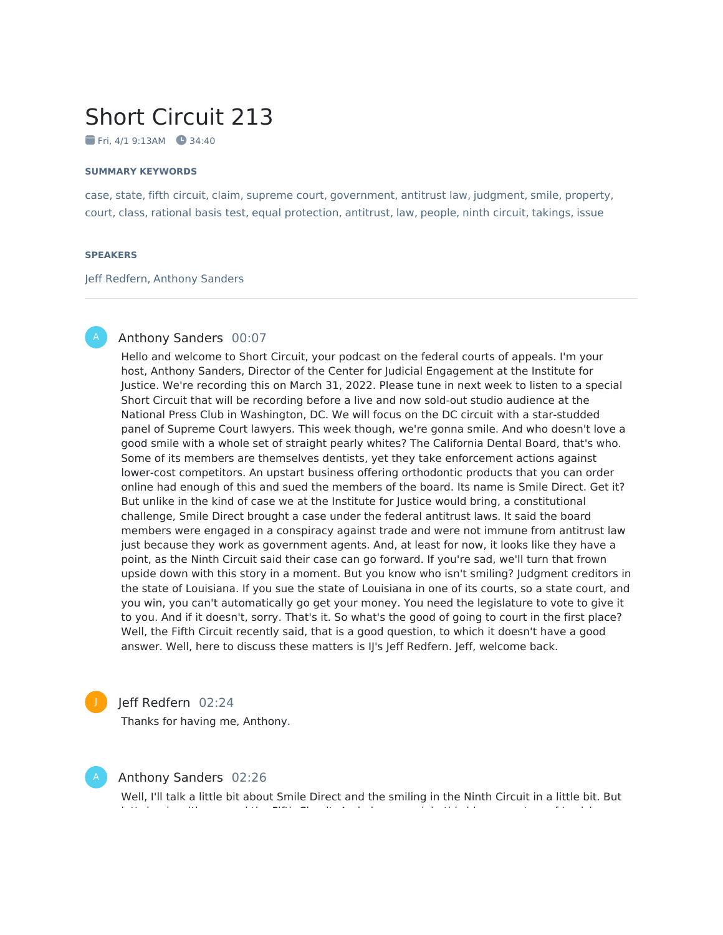# Short Circuit 213

 $Fri. 4/19:13AM$   $34:40$ 

#### **SUMMARY KEYWORDS**

case, state, fifth circuit, claim, supreme court, government, antitrust law, judgment, smile, property, court, class, rational basis test, equal protection, antitrust, law, people, ninth circuit, takings, issue

#### **SPEAKERS**

Jeff Redfern, Anthony Sanders



# Anthony Sanders 00:07

Hello and welcome to Short Circuit, your podcast on the federal courts of appeals. I'm your host, Anthony Sanders, Director of the Center for Judicial Engagement at the Institute for Justice. We're recording this on March 31, 2022. Please tune in next week to listen to a special Short Circuit that will be recording before a live and now sold-out studio audience at the National Press Club in Washington, DC. We will focus on the DC circuit with a star-studded panel of Supreme Court lawyers. This week though, we're gonna smile. And who doesn't love a good smile with a whole set of straight pearly whites? The California Dental Board, that's who. Some of its members are themselves dentists, yet they take enforcement actions against lower-cost competitors. An upstart business offering orthodontic products that you can order online had enough of this and sued the members of the board. Its name is Smile Direct. Get it? But unlike in the kind of case we at the Institute for Justice would bring, a constitutional challenge, Smile Direct brought a case under the federal antitrust laws. It said the board members were engaged in a conspiracy against trade and were not immune from antitrust law just because they work as government agents. And, at least for now, it looks like they have a point, as the Ninth Circuit said their case can go forward. If you're sad, we'll turn that frown upside down with this story in a moment. But you know who isn't smiling? Judgment creditors in the state of Louisiana. If you sue the state of Louisiana in one of its courts, so a state court, and you win, you can't automatically go get your money. You need the legislature to vote to give it to you. And if it doesn't, sorry. That's it. So what's the good of going to court in the first place? Well, the Fifth Circuit recently said, that is a good question, to which it doesn't have a good answer. Well, here to discuss these matters is IJ's Jeff Redfern. Jeff, welcome back.



# Jeff Redfern 02:24

Thanks for having me, Anthony.



### Anthony Sanders 02:26

Well, I'll talk a little bit about Smile Direct and the smiling in the Ninth Circuit in a little bit. But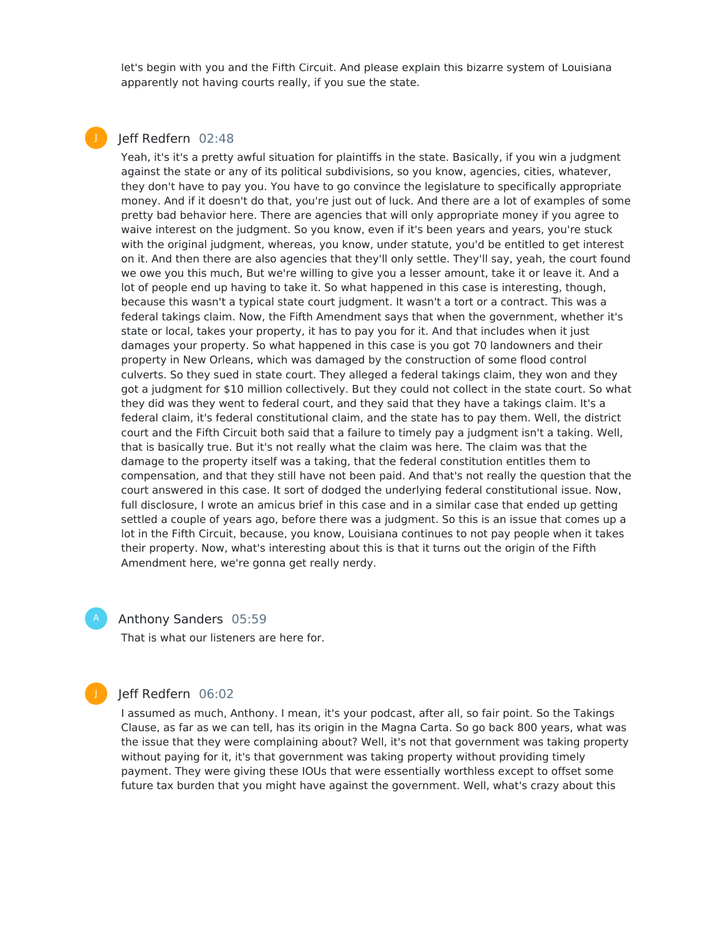let's begin with you and the Fifth Circuit. And please explain this bizarre system of Louisiana apparently not having courts really, if you sue the state.

# Jeff Redfern 02:48

J

Yeah, it's it's a pretty awful situation for plaintiffs in the state. Basically, if you win a judgment against the state or any of its political subdivisions, so you know, agencies, cities, whatever, they don't have to pay you. You have to go convince the legislature to specifically appropriate money. And if it doesn't do that, you're just out of luck. And there are a lot of examples of some pretty bad behavior here. There are agencies that will only appropriate money if you agree to waive interest on the judgment. So you know, even if it's been years and years, you're stuck with the original judgment, whereas, you know, under statute, you'd be entitled to get interest on it. And then there are also agencies that they'll only settle. They'll say, yeah, the court found we owe you this much, But we're willing to give you a lesser amount, take it or leave it. And a lot of people end up having to take it. So what happened in this case is interesting, though, because this wasn't a typical state court judgment. It wasn't a tort or a contract. This was a federal takings claim. Now, the Fifth Amendment says that when the government, whether it's state or local, takes your property, it has to pay you for it. And that includes when it just damages your property. So what happened in this case is you got 70 landowners and their property in New Orleans, which was damaged by the construction of some flood control culverts. So they sued in state court. They alleged a federal takings claim, they won and they got a judgment for \$10 million collectively. But they could not collect in the state court. So what they did was they went to federal court, and they said that they have a takings claim. It's a federal claim, it's federal constitutional claim, and the state has to pay them. Well, the district court and the Fifth Circuit both said that a failure to timely pay a judgment isn't a taking. Well, that is basically true. But it's not really what the claim was here. The claim was that the damage to the property itself was a taking, that the federal constitution entitles them to compensation, and that they still have not been paid. And that's not really the question that the court answered in this case. It sort of dodged the underlying federal constitutional issue. Now, full disclosure, I wrote an amicus brief in this case and in a similar case that ended up getting settled a couple of years ago, before there was a judgment. So this is an issue that comes up a lot in the Fifth Circuit, because, you know, Louisiana continues to not pay people when it takes their property. Now, what's interesting about this is that it turns out the origin of the Fifth Amendment here, we're gonna get really nerdy.

Anthony Sanders 05:59

That is what our listeners are here for.

# Jeff Redfern 06:02

I assumed as much, Anthony. I mean, it's your podcast, after all, so fair point. So the Takings Clause, as far as we can tell, has its origin in the Magna Carta. So go back 800 years, what was the issue that they were complaining about? Well, it's not that government was taking property without paying for it, it's that government was taking property without providing timely payment. They were giving these IOUs that were essentially worthless except to offset some future tax burden that you might have against the government. Well, what's crazy about this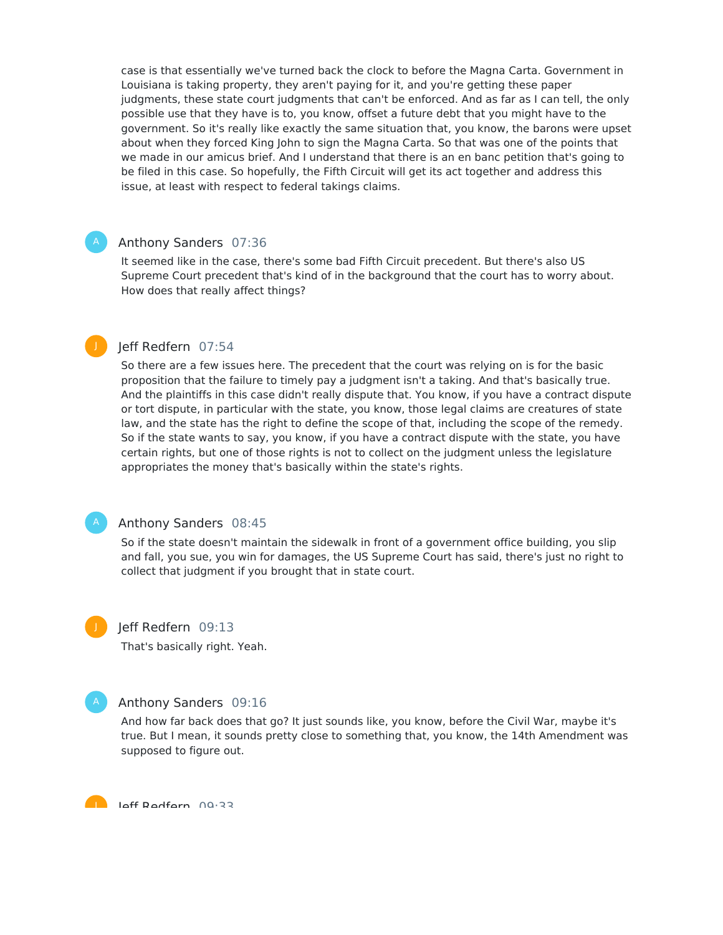case is that essentially we've turned back the clock to before the Magna Carta. Government in Louisiana is taking property, they aren't paying for it, and you're getting these paper judgments, these state court judgments that can't be enforced. And as far as I can tell, the only possible use that they have is to, you know, offset a future debt that you might have to the government. So it's really like exactly the same situation that, you know, the barons were upset about when they forced King John to sign the Magna Carta. So that was one of the points that we made in our amicus brief. And I understand that there is an en banc petition that's going to be filed in this case. So hopefully, the Fifth Circuit will get its act together and address this issue, at least with respect to federal takings claims.

# Anthony Sanders 07:36

It seemed like in the case, there's some bad Fifth Circuit precedent. But there's also US Supreme Court precedent that's kind of in the background that the court has to worry about. How does that really affect things?

# Jeff Redfern 07:54

So there are a few issues here. The precedent that the court was relying on is for the basic proposition that the failure to timely pay a judgment isn't a taking. And that's basically true. And the plaintiffs in this case didn't really dispute that. You know, if you have a contract dispute or tort dispute, in particular with the state, you know, those legal claims are creatures of state law, and the state has the right to define the scope of that, including the scope of the remedy. So if the state wants to say, you know, if you have a contract dispute with the state, you have certain rights, but one of those rights is not to collect on the judgment unless the legislature appropriates the money that's basically within the state's rights.

#### Anthony Sanders 08:45

So if the state doesn't maintain the sidewalk in front of a government office building, you slip and fall, you sue, you win for damages, the US Supreme Court has said, there's just no right to collect that judgment if you brought that in state court.

J

J

# Jeff Redfern 09:13

That's basically right. Yeah.

### Anthony Sanders 09:16

And how far back does that go? It just sounds like, you know, before the Civil War, maybe it's true. But I mean, it sounds pretty close to something that, you know, the 14th Amendment was supposed to figure out.

**Laff Dadfarn** 00:33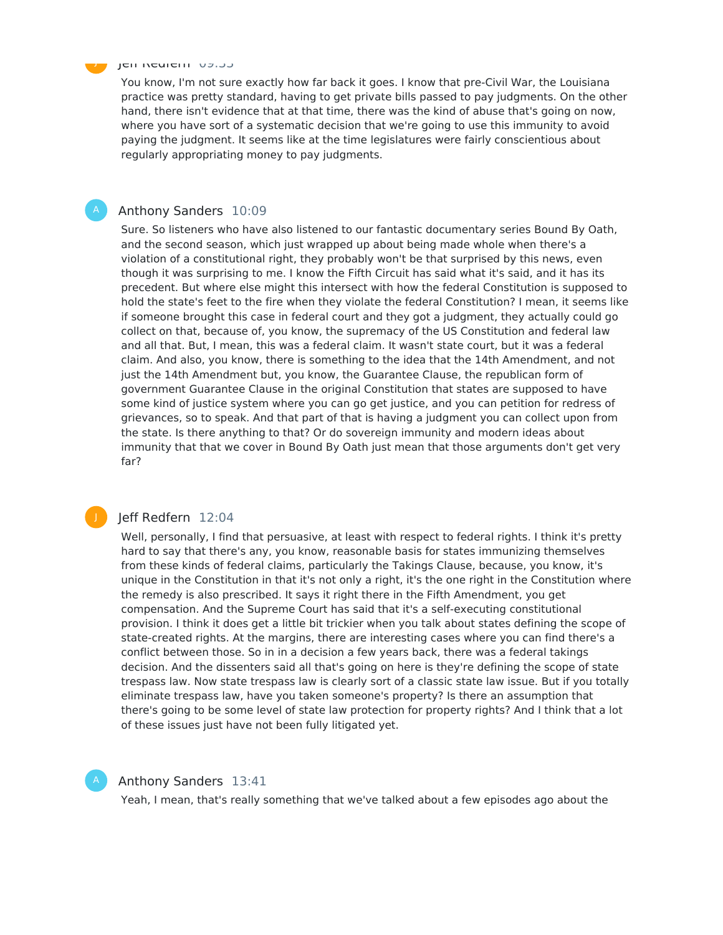#### Jeff Redfern 09:33

J

You know, I'm not sure exactly how far back it goes. I know that pre-Civil War, the Louisiana practice was pretty standard, having to get private bills passed to pay judgments. On the other hand, there isn't evidence that at that time, there was the kind of abuse that's going on now, where you have sort of a systematic decision that we're going to use this immunity to avoid paying the judgment. It seems like at the time legislatures were fairly conscientious about regularly appropriating money to pay judgments.

### Anthony Sanders 10:09

Sure. So listeners who have also listened to our fantastic documentary series Bound By Oath, and the second season, which just wrapped up about being made whole when there's a violation of a constitutional right, they probably won't be that surprised by this news, even though it was surprising to me. I know the Fifth Circuit has said what it's said, and it has its precedent. But where else might this intersect with how the federal Constitution is supposed to hold the state's feet to the fire when they violate the federal Constitution? I mean, it seems like if someone brought this case in federal court and they got a judgment, they actually could go collect on that, because of, you know, the supremacy of the US Constitution and federal law and all that. But, I mean, this was a federal claim. It wasn't state court, but it was a federal claim. And also, you know, there is something to the idea that the 14th Amendment, and not just the 14th Amendment but, you know, the Guarantee Clause, the republican form of government Guarantee Clause in the original Constitution that states are supposed to have some kind of justice system where you can go get justice, and you can petition for redress of grievances, so to speak. And that part of that is having a judgment you can collect upon from the state. Is there anything to that? Or do sovereign immunity and modern ideas about immunity that that we cover in Bound By Oath just mean that those arguments don't get very far?

### J

# Jeff Redfern 12:04

Well, personally, I find that persuasive, at least with respect to federal rights. I think it's pretty hard to say that there's any, you know, reasonable basis for states immunizing themselves from these kinds of federal claims, particularly the Takings Clause, because, you know, it's unique in the Constitution in that it's not only a right, it's the one right in the Constitution where the remedy is also prescribed. It says it right there in the Fifth Amendment, you get compensation. And the Supreme Court has said that it's a self-executing constitutional provision. I think it does get a little bit trickier when you talk about states defining the scope of state-created rights. At the margins, there are interesting cases where you can find there's a conflict between those. So in in a decision a few years back, there was a federal takings decision. And the dissenters said all that's going on here is they're defining the scope of state trespass law. Now state trespass law is clearly sort of a classic state law issue. But if you totally eliminate trespass law, have you taken someone's property? Is there an assumption that there's going to be some level of state law protection for property rights? And I think that a lot of these issues just have not been fully litigated yet.



# Anthony Sanders 13:41

Yeah, I mean, that's really something that we've talked about a few episodes ago about the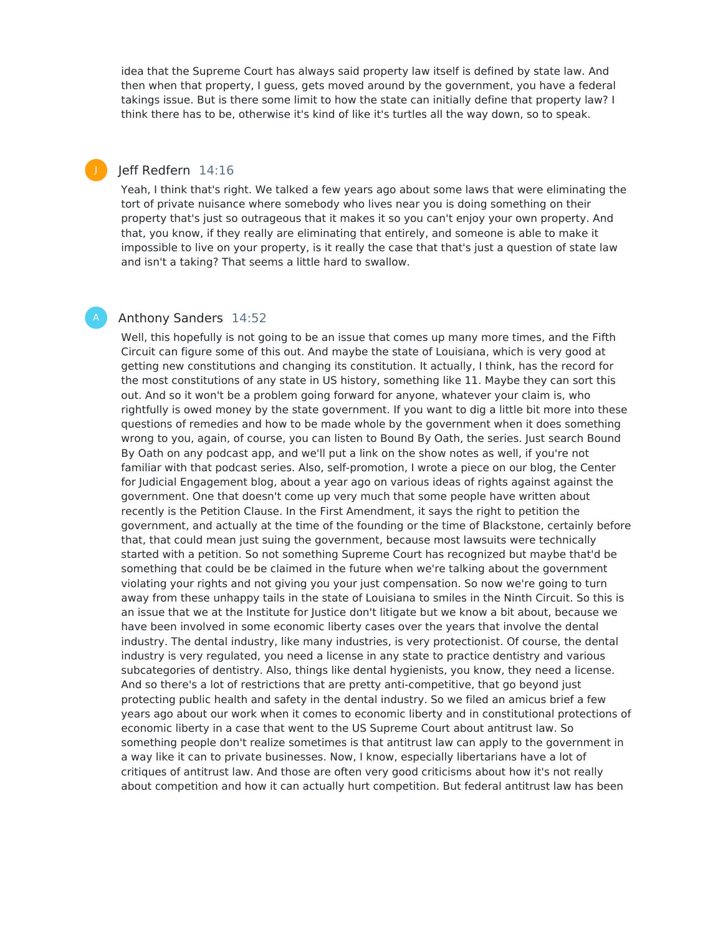idea that the Supreme Court has always said property law itself is defined by state law. And then when that property, I guess, gets moved around by the government, you have a federal takings issue. But is there some limit to how the state can initially define that property law? I think there has to be, otherwise it's kind of like it's turtles all the way down, so to speak.

# Jeff Redfern 14:16

J

Yeah, I think that's right. We talked a few years ago about some laws that were eliminating the tort of private nuisance where somebody who lives near you is doing something on their property that's just so outrageous that it makes it so you can't enjoy your own property. And that, you know, if they really are eliminating that entirely, and someone is able to make it impossible to live on your property, is it really the case that that's just a question of state law and isn't a taking? That seems a little hard to swallow.

# Anthony Sanders 14:52

Well, this hopefully is not going to be an issue that comes up many more times, and the Fifth Circuit can figure some of this out. And maybe the state of Louisiana, which is very good at getting new constitutions and changing its constitution. It actually, I think, has the record for the most constitutions of any state in US history, something like 11. Maybe they can sort this out. And so it won't be a problem going forward for anyone, whatever your claim is, who rightfully is owed money by the state government. If you want to dig a little bit more into these questions of remedies and how to be made whole by the government when it does something wrong to you, again, of course, you can listen to Bound By Oath, the series. Just search Bound By Oath on any podcast app, and we'll put a link on the show notes as well, if you're not familiar with that podcast series. Also, self-promotion, I wrote a piece on our blog, the Center for Judicial Engagement blog, about a year ago on various ideas of rights against against the government. One that doesn't come up very much that some people have written about recently is the Petition Clause. In the First Amendment, it says the right to petition the government, and actually at the time of the founding or the time of Blackstone, certainly before that, that could mean just suing the government, because most lawsuits were technically started with a petition. So not something Supreme Court has recognized but maybe that'd be something that could be be claimed in the future when we're talking about the government violating your rights and not giving you your just compensation. So now we're going to turn away from these unhappy tails in the state of Louisiana to smiles in the Ninth Circuit. So this is an issue that we at the Institute for Justice don't litigate but we know a bit about, because we have been involved in some economic liberty cases over the years that involve the dental industry. The dental industry, like many industries, is very protectionist. Of course, the dental industry is very regulated, you need a license in any state to practice dentistry and various subcategories of dentistry. Also, things like dental hygienists, you know, they need a license. And so there's a lot of restrictions that are pretty anti-competitive, that go beyond just protecting public health and safety in the dental industry. So we filed an amicus brief a few years ago about our work when it comes to economic liberty and in constitutional protections of economic liberty in a case that went to the US Supreme Court about antitrust law. So something people don't realize sometimes is that antitrust law can apply to the government in a way like it can to private businesses. Now, I know, especially libertarians have a lot of critiques of antitrust law. And those are often very good criticisms about how it's not really about competition and how it can actually hurt competition. But federal antitrust law has been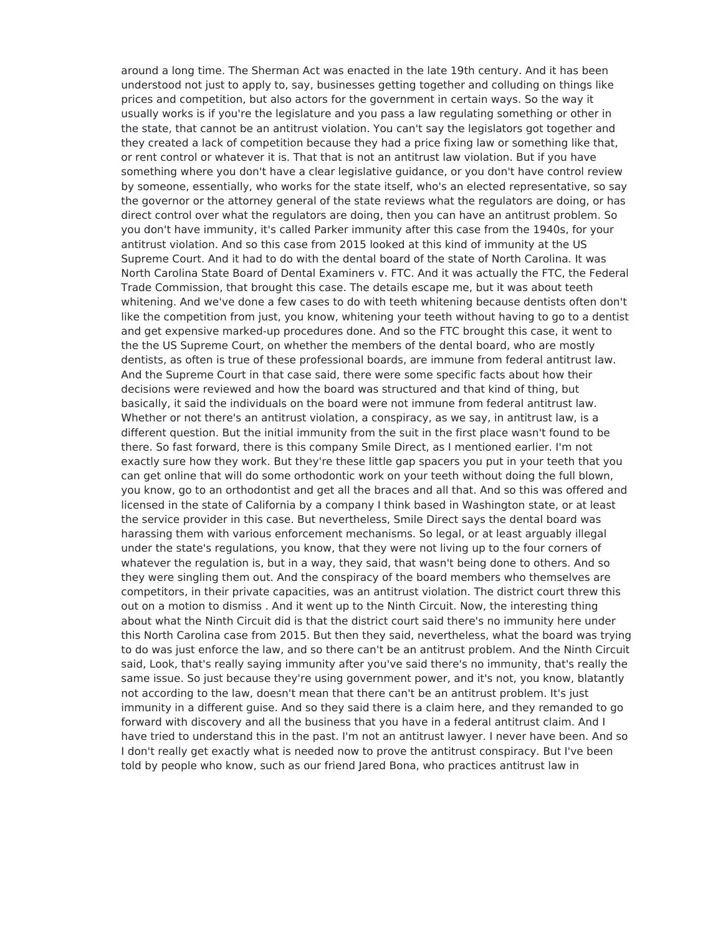around a long time. The Sherman Act was enacted in the late 19th century. And it has been understood not just to apply to, say, businesses getting together and colluding on things like prices and competition, but also actors for the government in certain ways. So the way it usually works is if you're the legislature and you pass a law regulating something or other in the state, that cannot be an antitrust violation. You can't say the legislators got together and they created a lack of competition because they had a price fixing law or something like that, or rent control or whatever it is. That that is not an antitrust law violation. But if you have something where you don't have a clear legislative guidance, or you don't have control review by someone, essentially, who works for the state itself, who's an elected representative, so say the governor or the attorney general of the state reviews what the regulators are doing, or has direct control over what the regulators are doing, then you can have an antitrust problem. So you don't have immunity, it's called Parker immunity after this case from the 1940s, for your antitrust violation. And so this case from 2015 looked at this kind of immunity at the US Supreme Court. And it had to do with the dental board of the state of North Carolina. It was North Carolina State Board of Dental Examiners v. FTC. And it was actually the FTC, the Federal Trade Commission, that brought this case. The details escape me, but it was about teeth whitening. And we've done a few cases to do with teeth whitening because dentists often don't like the competition from just, you know, whitening your teeth without having to go to a dentist and get expensive marked-up procedures done. And so the FTC brought this case, it went to the the US Supreme Court, on whether the members of the dental board, who are mostly dentists, as often is true of these professional boards, are immune from federal antitrust law. And the Supreme Court in that case said, there were some specific facts about how their decisions were reviewed and how the board was structured and that kind of thing, but basically, it said the individuals on the board were not immune from federal antitrust law. Whether or not there's an antitrust violation, a conspiracy, as we say, in antitrust law, is a different question. But the initial immunity from the suit in the first place wasn't found to be there. So fast forward, there is this company Smile Direct, as I mentioned earlier. I'm not exactly sure how they work. But they're these little gap spacers you put in your teeth that you can get online that will do some orthodontic work on your teeth without doing the full blown, you know, go to an orthodontist and get all the braces and all that. And so this was offered and licensed in the state of California by a company I think based in Washington state, or at least the service provider in this case. But nevertheless, Smile Direct says the dental board was harassing them with various enforcement mechanisms. So legal, or at least arguably illegal under the state's regulations, you know, that they were not living up to the four corners of whatever the regulation is, but in a way, they said, that wasn't being done to others. And so they were singling them out. And the conspiracy of the board members who themselves are competitors, in their private capacities, was an antitrust violation. The district court threw this out on a motion to dismiss . And it went up to the Ninth Circuit. Now, the interesting thing about what the Ninth Circuit did is that the district court said there's no immunity here under this North Carolina case from 2015. But then they said, nevertheless, what the board was trying to do was just enforce the law, and so there can't be an antitrust problem. And the Ninth Circuit said, Look, that's really saying immunity after you've said there's no immunity, that's really the same issue. So just because they're using government power, and it's not, you know, blatantly not according to the law, doesn't mean that there can't be an antitrust problem. It's just immunity in a different guise. And so they said there is a claim here, and they remanded to go forward with discovery and all the business that you have in a federal antitrust claim. And I have tried to understand this in the past. I'm not an antitrust lawyer. I never have been. And so I don't really get exactly what is needed now to prove the antitrust conspiracy. But I've been told by people who know, such as our friend Jared Bona, who practices antitrust law in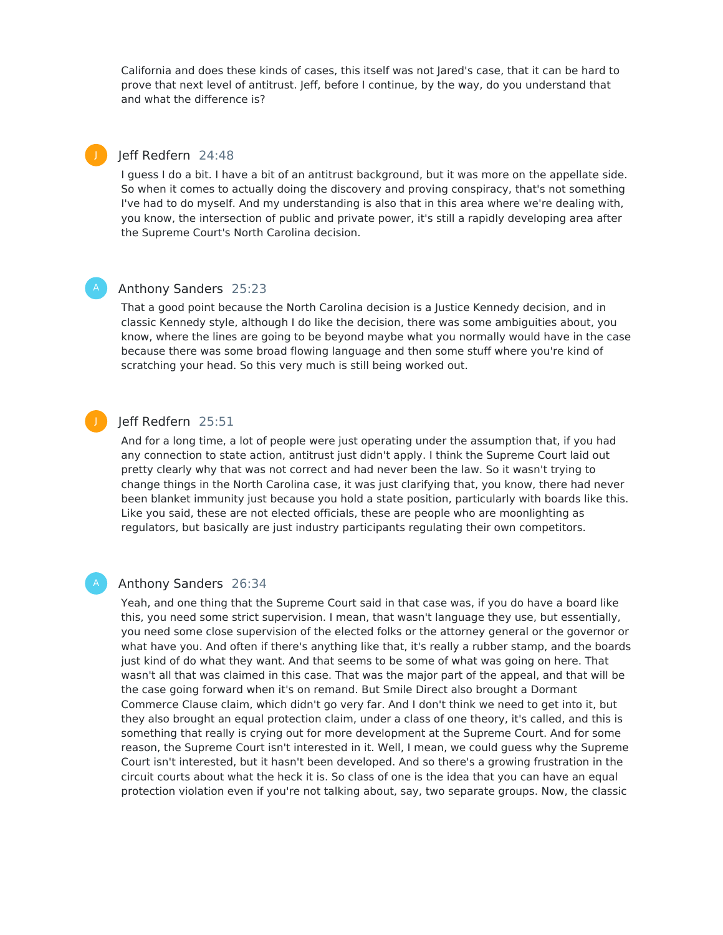California and does these kinds of cases, this itself was not Jared's case, that it can be hard to prove that next level of antitrust. Jeff, before I continue, by the way, do you understand that and what the difference is?

# Jeff Redfern 24:48

J

I guess I do a bit. I have a bit of an antitrust background, but it was more on the appellate side. So when it comes to actually doing the discovery and proving conspiracy, that's not something I've had to do myself. And my understanding is also that in this area where we're dealing with, you know, the intersection of public and private power, it's still a rapidly developing area after the Supreme Court's North Carolina decision.

# Anthony Sanders 25:23

That a good point because the North Carolina decision is a Justice Kennedy decision, and in classic Kennedy style, although I do like the decision, there was some ambiguities about, you know, where the lines are going to be beyond maybe what you normally would have in the case because there was some broad flowing language and then some stuff where you're kind of scratching your head. So this very much is still being worked out.

# Jeff Redfern 25:51

And for a long time, a lot of people were just operating under the assumption that, if you had any connection to state action, antitrust just didn't apply. I think the Supreme Court laid out pretty clearly why that was not correct and had never been the law. So it wasn't trying to change things in the North Carolina case, it was just clarifying that, you know, there had never been blanket immunity just because you hold a state position, particularly with boards like this. Like you said, these are not elected officials, these are people who are moonlighting as regulators, but basically are just industry participants regulating their own competitors.

J

## Anthony Sanders 26:34

Yeah, and one thing that the Supreme Court said in that case was, if you do have a board like this, you need some strict supervision. I mean, that wasn't language they use, but essentially, you need some close supervision of the elected folks or the attorney general or the governor or what have you. And often if there's anything like that, it's really a rubber stamp, and the boards just kind of do what they want. And that seems to be some of what was going on here. That wasn't all that was claimed in this case. That was the major part of the appeal, and that will be the case going forward when it's on remand. But Smile Direct also brought a Dormant Commerce Clause claim, which didn't go very far. And I don't think we need to get into it, but they also brought an equal protection claim, under a class of one theory, it's called, and this is something that really is crying out for more development at the Supreme Court. And for some reason, the Supreme Court isn't interested in it. Well, I mean, we could guess why the Supreme Court isn't interested, but it hasn't been developed. And so there's a growing frustration in the circuit courts about what the heck it is. So class of one is the idea that you can have an equal protection violation even if you're not talking about, say, two separate groups. Now, the classic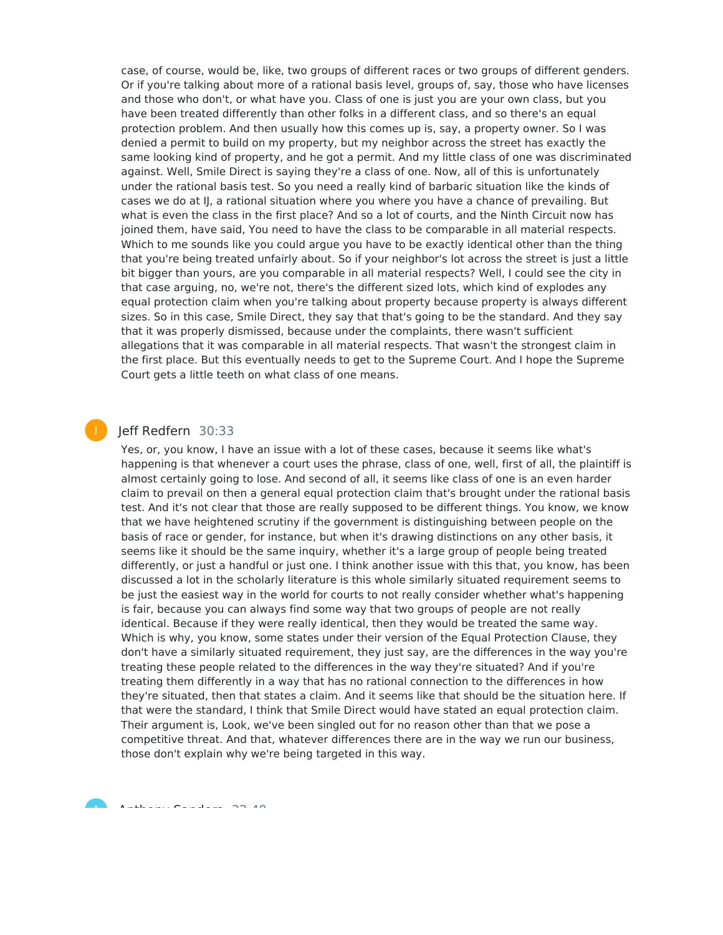case, of course, would be, like, two groups of different races or two groups of different genders. Or if you're talking about more of a rational basis level, groups of, say, those who have licenses and those who don't, or what have you. Class of one is just you are your own class, but you have been treated differently than other folks in a different class, and so there's an equal protection problem. And then usually how this comes up is, say, a property owner. So I was denied a permit to build on my property, but my neighbor across the street has exactly the same looking kind of property, and he got a permit. And my little class of one was discriminated against. Well, Smile Direct is saying they're a class of one. Now, all of this is unfortunately under the rational basis test. So you need a really kind of barbaric situation like the kinds of cases we do at IJ, a rational situation where you where you have a chance of prevailing. But what is even the class in the first place? And so a lot of courts, and the Ninth Circuit now has joined them, have said, You need to have the class to be comparable in all material respects. Which to me sounds like you could argue you have to be exactly identical other than the thing that you're being treated unfairly about. So if your neighbor's lot across the street is just a little bit bigger than yours, are you comparable in all material respects? Well, I could see the city in that case arguing, no, we're not, there's the different sized lots, which kind of explodes any equal protection claim when you're talking about property because property is always different sizes. So in this case, Smile Direct, they say that that's going to be the standard. And they say that it was properly dismissed, because under the complaints, there wasn't sufficient allegations that it was comparable in all material respects. That wasn't the strongest claim in the first place. But this eventually needs to get to the Supreme Court. And I hope the Supreme Court gets a little teeth on what class of one means.

# Jeff Redfern 30:33

J

Yes, or, you know, I have an issue with a lot of these cases, because it seems like what's happening is that whenever a court uses the phrase, class of one, well, first of all, the plaintiff is almost certainly going to lose. And second of all, it seems like class of one is an even harder claim to prevail on then a general equal protection claim that's brought under the rational basis test. And it's not clear that those are really supposed to be different things. You know, we know that we have heightened scrutiny if the government is distinguishing between people on the basis of race or gender, for instance, but when it's drawing distinctions on any other basis, it seems like it should be the same inquiry, whether it's a large group of people being treated differently, or just a handful or just one. I think another issue with this that, you know, has been discussed a lot in the scholarly literature is this whole similarly situated requirement seems to be just the easiest way in the world for courts to not really consider whether what's happening is fair, because you can always find some way that two groups of people are not really identical. Because if they were really identical, then they would be treated the same way. Which is why, you know, some states under their version of the Equal Protection Clause, they don't have a similarly situated requirement, they just say, are the differences in the way you're treating these people related to the differences in the way they're situated? And if you're treating them differently in a way that has no rational connection to the differences in how they're situated, then that states a claim. And it seems like that should be the situation here. If that were the standard, I think that Smile Direct would have stated an equal protection claim. Their argument is, Look, we've been singled out for no reason other than that we pose a competitive threat. And that, whatever differences there are in the way we run our business, those don't explain why we're being targeted in this way.